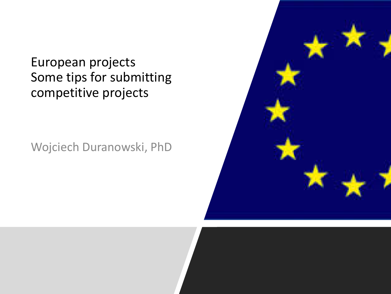European projects Some tips for submitting competitive projects

Wojciech Duranowski, PhD

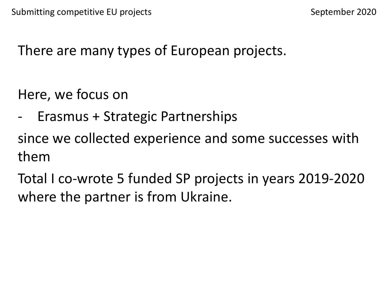There are many types of European projects.

Here, we focus on

- Erasmus + Strategic Partnerships

since we collected experience and some successes with them

Total I co-wrote 5 funded SP projects in years 2019-2020 where the partner is from Ukraine.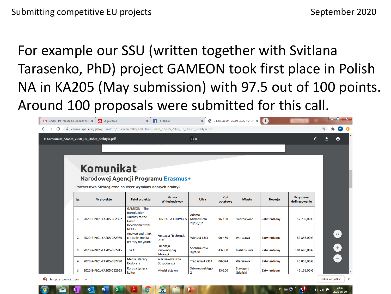For example our SSU (written together with Svitlana Tarasenko, PhD) project GAMEON took first place in Polish NA in KA205 (May submission) with 97.5 out of 100 points. Around 100 proposals were submitted for this call.

| M Gmail - Pd: realizacja krotkich film X |                | N Logowanie                                                                                                                         | $\times$                                                                                         | <b>1</b> Facebook                    | $\times$                         |                 | + E-Komunikat_KA205_2020_R2_Dc x + |                |                            | $ -0 $<br>$\mathbf{x}$   |
|------------------------------------------|----------------|-------------------------------------------------------------------------------------------------------------------------------------|--------------------------------------------------------------------------------------------------|--------------------------------------|----------------------------------|-----------------|------------------------------------|----------------|----------------------------|--------------------------|
| C<br>$\leftarrow$                        |                | erasmusplus.org.pl/wp-content/uploads/2018/12/E-Komunikat_KA205_2020_R2_Dobre_praktyki.pdf                                          |                                                                                                  |                                      |                                  |                 |                                    |                |                            |                          |
|                                          |                | E-Komunikat_KA205_2020_R2_Dobre_praktyki.pdf                                                                                        |                                                                                                  |                                      | 2/5                              |                 |                                    |                |                            | $\mathcal{C}$<br>ē       |
|                                          |                |                                                                                                                                     |                                                                                                  |                                      |                                  |                 |                                    |                |                            |                          |
|                                          | Lp.            | <b>Komunikat</b><br>Narodowej Agencji Programu Erasmus+<br>Partnerstwa Strategiczne na rzecz wymiany dobrych praktyk<br>Nr projektu | <b>Tytuł projektu</b>                                                                            | <b>Nazwa</b><br>Wnioskodawcy         | <b>Ulica</b>                     | Kod<br>pocztowy | <b>Miasto</b>                      | <b>Decyzja</b> | Przyznane<br>dofinasowanie |                          |
|                                          | $\mathbf{1}$   | 2020-2-PL01-KA205-082892                                                                                                            | <b>GAMEON - The</b><br>Introduction<br>Journey to the<br>Game<br>Development for<br><b>NEETs</b> | <b>FUNDACJA EDUVIBES</b>             | Adama<br>Mickiewicza<br>28/30/52 | 96-100          | Skierniewice                       | Zatwierdzony   | 57 730,00€                 |                          |
|                                          | $\overline{2}$ | 2020-2-PL01-KA205-082960                                                                                                            | Analyse and think<br>critically: media<br>literacy for youth                                     | Fundacja "Białoruski<br>Dom"         | Wiejska 13/3                     | 00-480          | Warszawa                           | Zatwierdzony   | 89 856,00€                 | $\frac{4}{3}\frac{6}{r}$ |
|                                          | 3              | 2020-2-PL01-KA205-082915                                                                                                            | The C                                                                                            | Fundacja<br>Innowacyjnej<br>Edukacji | Spółdzielców<br>39/100           | 43-300          | Bielsko-Biała                      | Zatwierdzony   | 101 680,00€                | $(+)$                    |
|                                          | 4              | 2020-2-PL01-KA205-082790                                                                                                            | <b>Media Literacy</b><br><b>Explorers</b>                                                        | Warszawska Izba<br>Gospodarcza       | Trebacka 4/314                   | 00-074          | Warszawa                           | Zatwierdzony   | 46 055,00€                 |                          |
|                                          | 5              | 2020-2-PL01-KA205-082933                                                                                                            | Europa tysiąca<br>kultur                                                                         | Młodzi aktywni                       | Szturmowskiego                   | 83-200          | Starogard<br>Gdański               | Zatwierdzony   | 46 161,00€                 |                          |

 $\boxed{\varphi}$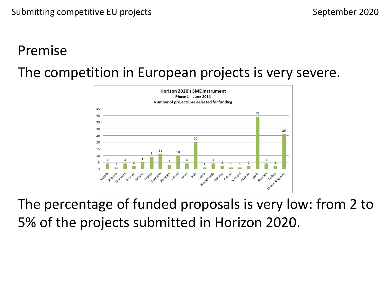#### Premise

#### The competition in European projects is very severe.



The percentage of funded proposals is very low: from 2 to 5% of the projects submitted in Horizon 2020.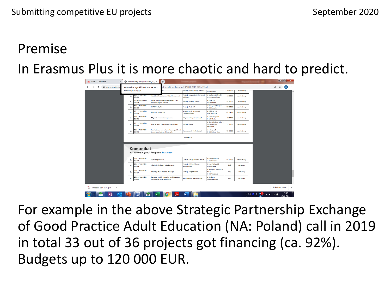#### Premise

In Erasmus Plus it is more chaotic and hard to predict.

|     | erasmusplus.org.pl           |                                                                                       | Fundacia Dzieła Kolpinga W Polsce                 | 31-436 Kraków                                               | 79 950.00  | zatwierdzony |  |  |
|-----|------------------------------|---------------------------------------------------------------------------------------|---------------------------------------------------|-------------------------------------------------------------|------------|--------------|--|--|
| 26. | 065689                       | Adult Social Inclusion in a Digital Environment                                       | Fundacia Instytut Badan i Innowacii<br>w Edukacji | ul. Czecha nr 13, lok. 65<br>42-224 Częstochowa             | 46 020,00  | zatwierdzony |  |  |
| 27. | 2019-1-PL01-KA204-<br>065528 | Digital inclusion of adults - let's learn from<br>examples of good practices          | Fundacja Edukacja i Media                         | ul. Rynek 7/2<br><b>44-100 Gliwice</b>                      | 55 240,00  | zatwierdzony |  |  |
| 28  | 2019-1-PL01-KA204-<br>065508 | <b>IMPROV</b> e English                                                               | Fundacia Youth ACT                                | ul. Konstytucji 3 Maja 7<br>75-820 Koszalin                 | 92 128.00  | zatwierdzony |  |  |
| 29. | 2019-1-PL01-KA204-<br>065798 | Złota jesień seniorów                                                                 | Stowarzyszenie Seniorzy dla<br>Chorzowa i Śląska  | ul. Kolejowa 1/1<br>41-503 Chorzów                          | 101 180,00 | zatwierdzony |  |  |
| 30. | 2019-1-PL01-KA204-<br>065376 | Migranci - oprowadzanie po domu                                                       | 'Obywatele Wspólnej Europy"                       | ul. Andromedy 20/5<br>44-100 Gliwice                        | 42 250,00  | zatwierdzony |  |  |
| 31  | 2019-1-PL01-KA204-<br>065588 | Teatr w walce z wirtualnymi zagrożeniami                                              | Fundacja GAMA                                     | ul. Gen. Nikodema Sulika 1<br>16-200 Dabrowa<br>Białostocka | 55 570.00  | zatwierdzony |  |  |
|     |                              |                                                                                       |                                                   |                                                             |            |              |  |  |
| 32  | 2019-1-PL01-KA204-<br>065793 | How to teach - how to learn. Learning skills and<br>teaching methods of older people. | Stowarzyszenie Strefa Spotkań<br>Strona 11 z 12   | ul. 1 Sierpnia 9<br>37-450 Stalowa Wola                     | 78 415,00  | zatwierdzony |  |  |
|     | Komunikat                    |                                                                                       |                                                   |                                                             |            |              |  |  |
|     |                              | Narodowej Agencji Programu Erasmus+                                                   |                                                   |                                                             |            |              |  |  |
| 33. | 2019-1-PL01-KA204-<br>065122 | "Umleć się spotkać"                                                                   | Centrum Kultury Wrocław Zachód                    | ul. Chociebuska 4-6<br>54-433 Wrocław                       | 56 300.00  | zatwierdzony |  |  |
| 34  | 2019-1-PL01-KA204-<br>065773 | Akademia Edukatora Osób Doroslych                                                     | Fundacja "Małopolska tzba<br>Samorządowa"         | al. Daszyńskiego 16<br>31-534 Kraków                        | 0.00       | odrzucony    |  |  |
| 35. | 2019-1-PL01-KA204-<br>065594 | The story of us - the story of Europe                                                 | Fundacja "Hagia Marina"                           | ul. Dywizionu 303 nr 161A<br>lok. 25<br>01-470 Warszawa     | 0,00       | odrzucony    |  |  |

For example in the above Strategic Partnership Exchange of Good Practice Adult Education (NA: Poland) call in 2019 in total 33 out of 36 projects got financing (ca. 92%). Budgets up to 120 000 EUR.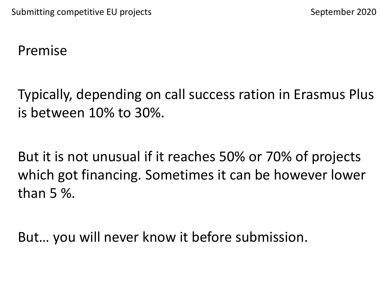#### Premise

Typically, depending on call success ration in Erasmus Plus is between 10% to 30%.

But it is not unusual if it reaches 50% or 70% of projects which got financing. Sometimes it can be however lower than 5 %.

But… you will never know it before submission.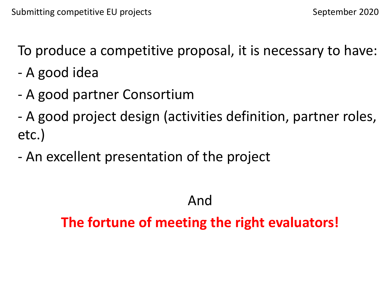To produce a competitive proposal, it is necessary to have:

- A good idea
- A good partner Consortium
- A good project design (activities definition, partner roles, etc.)
- An excellent presentation of the project

# And

# **The fortune of meeting the right evaluators!**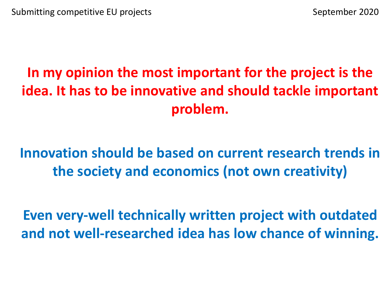# **In my opinion the most important for the project is the idea. It has to be innovative and should tackle important problem.**

# **Innovation should be based on current research trends in the society and economics (not own creativity)**

**Even very-well technically written project with outdated and not well-researched idea has low chance of winning.**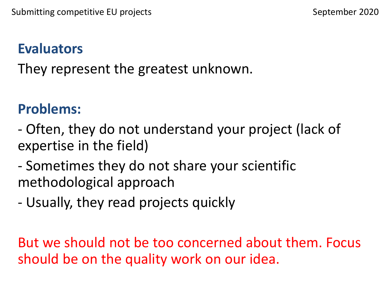### **Evaluators**

They represent the greatest unknown.

### **Problems:**

- Often, they do not understand your project (lack of expertise in the field)
- Sometimes they do not share your scientific methodological approach
- Usually, they read projects quickly

But we should not be too concerned about them. Focus should be on the quality work on our idea.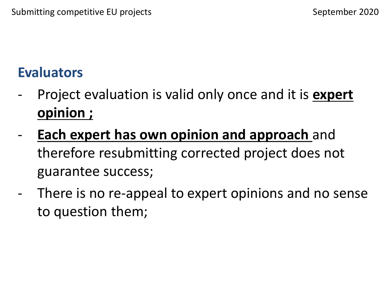# **Evaluators**

- Project evaluation is valid only once and it is **expert opinion ;**
- **Each expert has own opinion and approach** and therefore resubmitting corrected project does not guarantee success;
- There is no re-appeal to expert opinions and no sense to question them;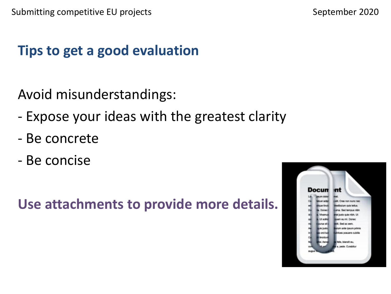## **Tips to get a good evaluation**

Avoid misunderstandings:

- Expose your ideas with the greatest clarity
- Be concrete
- Be concise

**Use attachments to provide more details.**

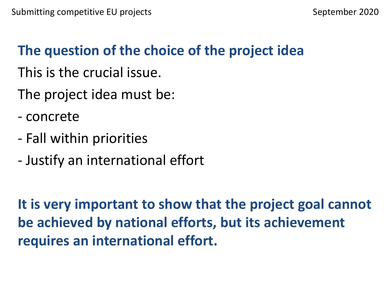### **The question of the choice of the project idea**

- This is the crucial issue.
- The project idea must be:
- concrete
- Fall within priorities
- Justify an international effort

**It is very important to show that the project goal cannot be achieved by national efforts, but its achievement requires an international effort.**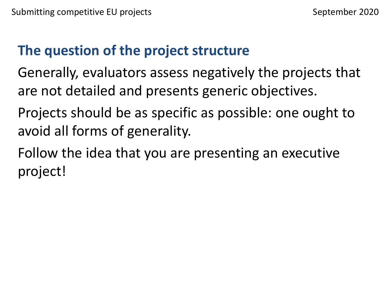### **The question of the project structure**

Generally, evaluators assess negatively the projects that are not detailed and presents generic objectives.

- Projects should be as specific as possible: one ought to avoid all forms of generality.
- Follow the idea that you are presenting an executive project!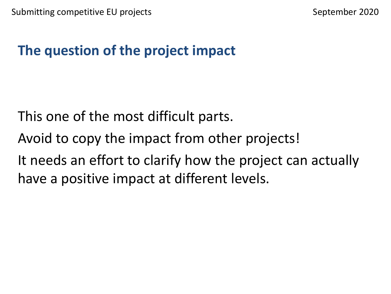## **The question of the project impact**

This one of the most difficult parts.

Avoid to copy the impact from other projects!

It needs an effort to clarify how the project can actually have a positive impact at different levels.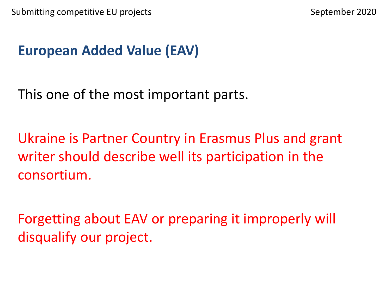### **European Added Value (EAV)**

This one of the most important parts.

Ukraine is Partner Country in Erasmus Plus and grant writer should describe well its participation in the consortium.

Forgetting about EAV or preparing it improperly will disqualify our project.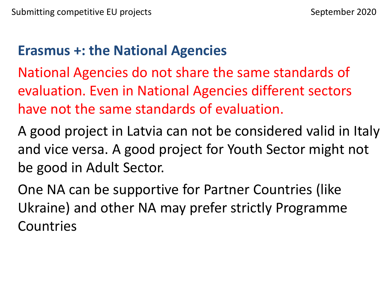### **Erasmus +: the National Agencies**

National Agencies do not share the same standards of evaluation. Even in National Agencies different sectors have not the same standards of evaluation.

A good project in Latvia can not be considered valid in Italy and vice versa. A good project for Youth Sector might not be good in Adult Sector.

One NA can be supportive for Partner Countries (like Ukraine) and other NA may prefer strictly Programme Countries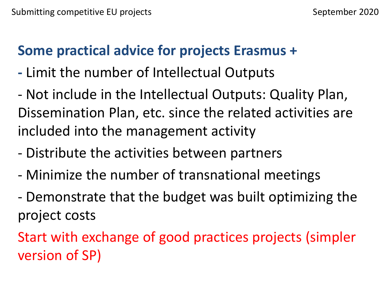#### **Some practical advice for projects Erasmus +**

- **-** Limit the number of Intellectual Outputs
- Not include in the Intellectual Outputs: Quality Plan, Dissemination Plan, etc. since the related activities are included into the management activity
- Distribute the activities between partners
- Minimize the number of transnational meetings
- Demonstrate that the budget was built optimizing the project costs
- Start with exchange of good practices projects (simpler version of SP)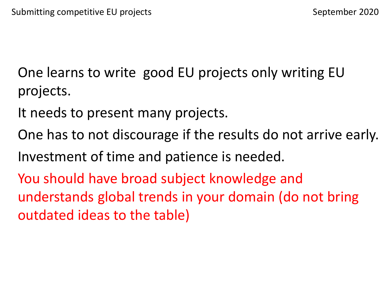One learns to write good EU projects only writing EU projects.

- It needs to present many projects.
- One has to not discourage if the results do not arrive early.
- Investment of time and patience is needed.
- You should have broad subject knowledge and understands global trends in your domain (do not bring outdated ideas to the table)